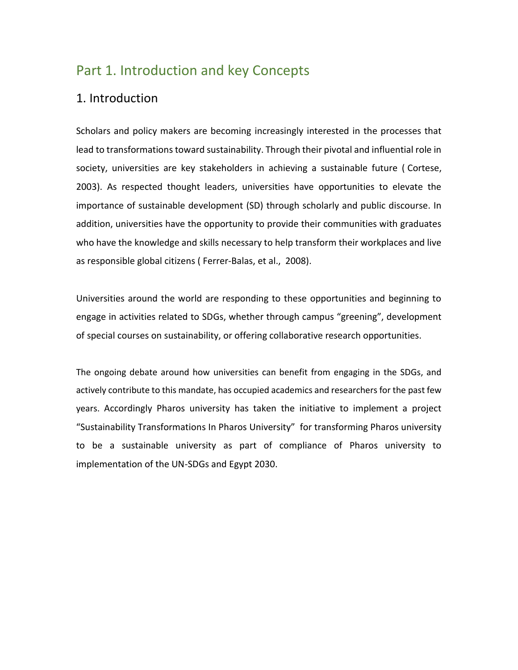# Part 1. Introduction and key Concepts

### 1. Introduction

Scholars and policy makers are becoming increasingly interested in the processes that lead to transformations toward sustainability. Through their pivotal and influential role in society, universities are key stakeholders in achieving a sustainable future ( [Cortese,](https://www.emerald.com/insight/content/doi/10.1108/14676370810885907/full/html#b3)  [2003\)](https://www.emerald.com/insight/content/doi/10.1108/14676370810885907/full/html#b3). As respected thought leaders, universities have opportunities to elevate the importance of sustainable development (SD) through scholarly and public discourse. In addition, universities have the opportunity to provide their communities with graduates who have the knowledge and skills necessary to help transform their workplaces and live as responsible global citizens ( [Ferrer‐Balas,](https://www.emerald.com/insight/search?q=D.%20Ferrer%E2%80%90Balas) et al., 2008).

Universities around the world are responding to these opportunities and beginning to engage in activities related to SDGs, whether through campus "greening", development of special courses on sustainability, or offering collaborative research opportunities.

The ongoing debate around how universities can benefit from engaging in the SDGs, and actively contribute to this mandate, has occupied academics and researchers for the past few years. Accordingly Pharos university has taken the initiative to implement a project "Sustainability Transformations In Pharos University" for transforming Pharos university to be a sustainable university as part of compliance of Pharos university to implementation of the UN-SDGs and Egypt 2030.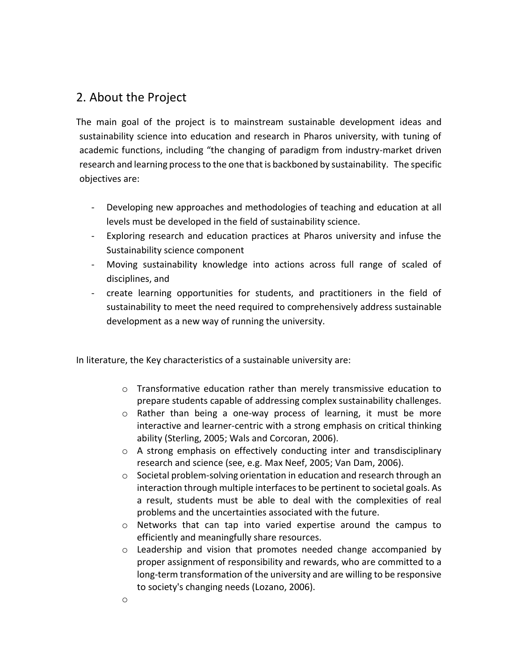# 2. About the Project

The main goal of the project is to mainstream sustainable development ideas and sustainability science into education and research in Pharos university, with tuning of academic functions, including "the changing of paradigm from industry-market driven research and learning process to the one that is backboned by sustainability. The specific objectives are:

- Developing new approaches and methodologies of teaching and education at all levels must be developed in the field of sustainability science.
- Exploring research and education practices at Pharos university and infuse the Sustainability science component
- Moving sustainability knowledge into actions across full range of scaled of disciplines, and
- create learning opportunities for students, and practitioners in the field of sustainability to meet the need required to comprehensively address sustainable development as a new way of running the university.

In literature, the Key characteristics of a sustainable university are:

- $\circ$  Transformative education rather than merely transmissive education to prepare students capable of addressing complex sustainability challenges.
- o Rather than being a one‐way process of learning, it must be more interactive and learner-centric with a strong emphasis on critical thinking ability [\(Sterling, 2005;](https://www.emerald.com/insight/content/doi/10.1108/14676370810885907/full/html#b19) [Wals and Corcoran, 2006\)](https://www.emerald.com/insight/content/doi/10.1108/14676370810885907/full/html#b24).
- $\circ$  A strong emphasis on effectively conducting inter and transdisciplinary research and science (see, e.g. [Max Neef, 2005;](https://www.emerald.com/insight/content/doi/10.1108/14676370810885907/full/html#b16) [Van Dam, 2006\)](https://www.emerald.com/insight/content/doi/10.1108/14676370810885907/full/html#b21).
- o Societal problem‐solving orientation in education and research through an interaction through multiple interfaces to be pertinent to societal goals. As a result, students must be able to deal with the complexities of real problems and the uncertainties associated with the future.
- $\circ$  Networks that can tap into varied expertise around the campus to efficiently and meaningfully share resources.
- $\circ$  Leadership and vision that promotes needed change accompanied by proper assignment of responsibility and rewards, who are committed to a long-term transformation of the university and are willing to be responsive to society's changing needs [\(Lozano, 2006\)](https://www.emerald.com/insight/content/doi/10.1108/14676370810885907/full/html#b15).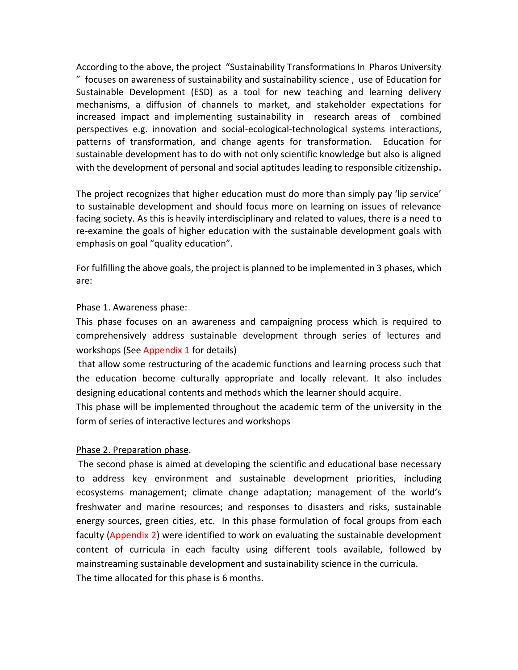According to the above, the project "Sustainability Transformations In Pharos University " focuses on awareness of sustainability and sustainability science , use of Education for Sustainable Development (ESD) as a tool for new teaching and learning delivery mechanisms, a diffusion of channels to market, and stakeholder expectations for increased impact and implementing sustainability in research areas of combined perspectives e.g. innovation and social-ecological-technological systems interactions, patterns of transformation, and change agents for transformation. Education for sustainable development has to do with not only scientific knowledge but also is aligned with the development of personal and social aptitudes leading to responsible citizenship**.**

The project recognizes that higher education must do more than simply pay 'lip service' to sustainable development and should focus more on learning on issues of relevance facing society. As this is heavily interdisciplinary and related to values, there is a need to re-examine the goals of higher education with the sustainable development goals with emphasis on goal "quality education".

For fulfilling the above goals, the project is planned to be implemented in 3 phases, which are:

### Phase 1. Awareness phase:

This phase focuses on an awareness and campaigning process which is required to comprehensively address sustainable development through series of lectures and workshops (See Appendix 1 for details)

that allow some restructuring of the academic functions and learning process such that the education become culturally appropriate and locally relevant. It also includes designing educational contents and methods which the learner should acquire.

This phase will be implemented throughout the academic term of the university in the form of series of interactive lectures and workshops

### Phase 2. Preparation phase.

The second phase is aimed at developing the scientific and educational base necessary to address key environment and sustainable development priorities, including ecosystems management; climate change adaptation; management of the world's freshwater and marine resources; and responses to disasters and risks, sustainable energy sources, green cities, etc. In this phase formulation of focal groups from each faculty (Appendix 2) were identified to work on evaluating the sustainable development content of curricula in each faculty using different tools available, followed by mainstreaming sustainable development and sustainability science in the curricula. The time allocated for this phase is 6 months.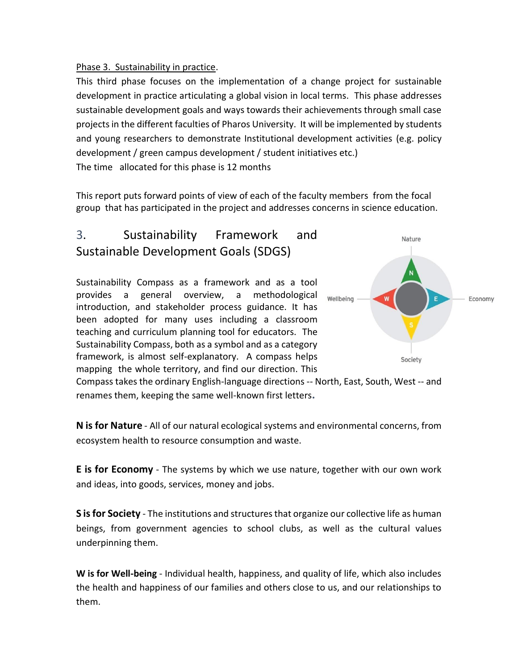### Phase 3. Sustainability in practice.

This third phase focuses on the implementation of a change project for sustainable development in practice articulating a global vision in local terms. This phase addresses sustainable development goals and ways towards their achievements through small case projects in the different faculties of Pharos University. It will be implemented by students and young researchers to demonstrate Institutional development activities (e.g. policy development / green campus development / student initiatives etc.) The time allocated for this phase is 12 months

This report puts forward points of view of each of the faculty members from the focal group that has participated in the project and addresses concerns in science education.

# 3. Sustainability Framework and Sustainable Development Goals (SDGS)

Sustainability Compass as a framework and as a tool provides a general overview, a methodological introduction, and stakeholder process guidance. It has been adopted for many uses including a classroom teaching and curriculum planning tool for educators. The Sustainability Compass, both as a symbol and as a category framework, is almost self-explanatory. A compass helps mapping the whole territory, and find our direction. This



Compass takes the ordinary English-language directions -- North, East, South, West -- and renames them, keeping the same well-known first letters**.**

**N is for Nature** - All of our natural ecological systems and environmental concerns, from ecosystem health to resource consumption and waste.

**E is for Economy** - The systems by which we use nature, together with our own work and ideas, into goods, services, money and jobs.

**S is for Society** - The institutions and structures that organize our collective life as human beings, from government agencies to school clubs, as well as the cultural values underpinning them.

**W is for Well-being** - Individual health, happiness, and quality of life, which also includes the health and happiness of our families and others close to us, and our relationships to them.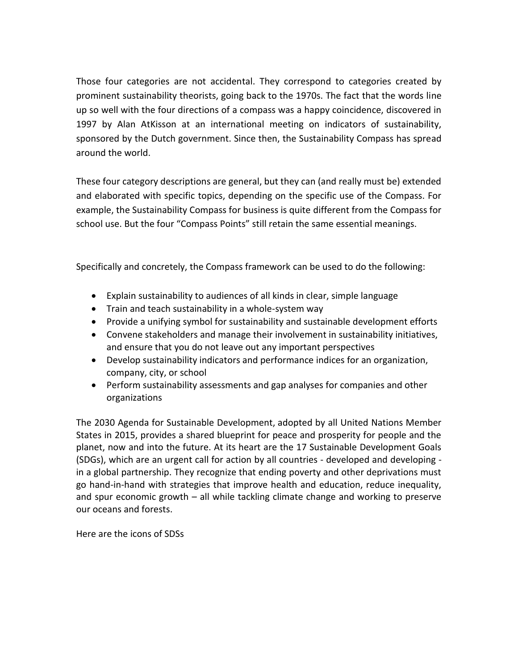Those four categories are not accidental. They correspond to categories created by prominent sustainability theorists, going back to the 1970s. The fact that the words line up so well with the four directions of a compass was a happy coincidence, discovered in 1997 by Alan AtKisson at an international meeting on indicators of sustainability, sponsored by the Dutch government. Since then, the Sustainability Compass has spread around the world.

These four category descriptions are general, but they can (and really must be) extended and elaborated with specific topics, depending on the specific use of the Compass. For example, the Sustainability Compass for business is quite different from the Compass for school use. But the four "Compass Points" still retain the same essential meanings.

Specifically and concretely, the Compass framework can be used to do the following:

- Explain sustainability to audiences of all kinds in clear, simple language
- Train and teach sustainability in a whole-system way
- Provide a unifying symbol for sustainability and sustainable development efforts
- Convene stakeholders and manage their involvement in sustainability initiatives, and ensure that you do not leave out any important perspectives
- Develop sustainability indicators and performance indices for an organization, company, city, or school
- Perform sustainability assessments and gap analyses for companies and other organizations

[The 2030 Agenda for Sustainable Development,](https://sustainabledevelopment.un.org/post2015/transformingourworld) adopted by all United Nations Member States in 2015, provides a shared blueprint for peace and prosperity for people and the planet, now and into the future. At its heart are the 17 Sustainable Development Goals (SDGs), which are an urgent call for action by all countries - developed and developing in a global partnership. They recognize that ending poverty and other deprivations must go hand-in-hand with strategies that improve health and education, reduce inequality, and spur economic growth – all while tackling climate change and working to preserve our oceans and forests.

Here are the icons of SDSs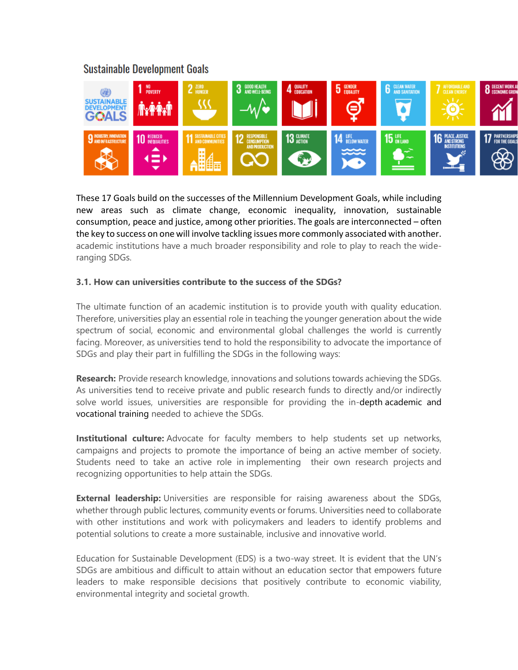### **Sustainable Development Goals**



These 17 Goals build on the successes of the [Millennium Development](http://www.undp.org/content/undp/en/home/sustainable-development-goals/background.html) Goals, while including new areas such as climate change, economic inequality, innovation, sustainable consumption, peace and justice, among other priorities. The goals are interconnected – often the key to success on one will involve tackling issues more commonly associated with another. academic institutions have a much broader responsibility and role to play to reach the wideranging SDGs.

### **3.1. How can universities contribute to the success of the SDGs?**

The ultimate function of an academic institution is to provide youth with quality education. Therefore, universities play an essential role in teaching the younger generation about the wide spectrum of social, economic and environmental global challenges the world is currently facing. Moreover, as universities tend to hold the responsibility to advocate the importance of SDGs and play their part in fulfilling the SDGs in the following ways:

**Research:** Provide research knowledge, innovations and solutions towards achieving the SDGs. As universities tend to receive private and public research funds to directly and/or indirectly solve world issues, universities are responsible for providing the in-depth [academic and](http://ap-unsdsn.org/a-new-guide-for-universities-on-the-sdgs/)  [vocational training](http://ap-unsdsn.org/a-new-guide-for-universities-on-the-sdgs/) needed to achieve the SDGs.

**Institutional culture:** Advocate for faculty members to help students set up networks, campaigns and projects to promote the importance of being an active member of society. Students need to take an active role in implementing their own research projects and recognizing opportunities to help attain the SDGs.

**External leadership:** Universities are responsible for raising awareness about the SDGs, whether through public lectures, community events or forums. Universities need to collaborate with other institutions and work with policymakers and leaders to identify problems and potential solutions to create a more sustainable, inclusive and innovative world.

Education for Sustainable Development (EDS) is a two-way street. It is evident that the UN's SDGs are ambitious and difficult to attain without an education sector that empowers future leaders to make responsible decisions that positively contribute to economic viability, environmental integrity and societal growth.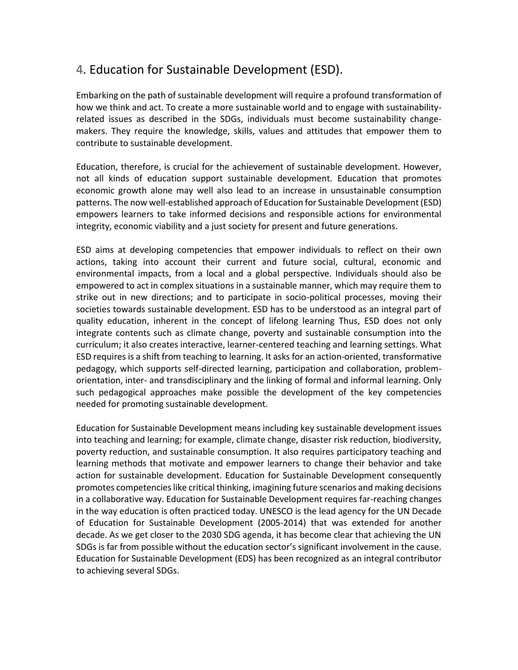# 4. Education for Sustainable Development (ESD).

Embarking on the path of sustainable development will require a profound transformation of how we think and act. To create a more sustainable world and to engage with sustainabilityrelated issues as described in the SDGs, individuals must become sustainability changemakers. They require the knowledge, skills, values and attitudes that empower them to contribute to sustainable development.

Education, therefore, is crucial for the achievement of sustainable development. However, not all kinds of education support sustainable development. Education that promotes economic growth alone may well also lead to an increase in unsustainable consumption patterns. The now well-established approach of Education for Sustainable Development (ESD) empowers learners to take informed decisions and responsible actions for environmental integrity, economic viability and a just society for present and future generations.

ESD aims at developing competencies that empower individuals to reflect on their own actions, taking into account their current and future social, cultural, economic and environmental impacts, from a local and a global perspective. Individuals should also be empowered to act in complex situations in a sustainable manner, which may require them to strike out in new directions; and to participate in socio-political processes, moving their societies towards sustainable development. ESD has to be understood as an integral part of quality education, inherent in the concept of lifelong learning Thus, ESD does not only integrate contents such as climate change, poverty and sustainable consumption into the curriculum; it also creates interactive, learner-centered teaching and learning settings. What ESD requires is a shift from teaching to learning. It asks for an action-oriented, transformative pedagogy, which supports self-directed learning, participation and collaboration, problemorientation, inter- and transdisciplinary and the linking of formal and informal learning. Only such pedagogical approaches make possible the development of the key competencies needed for promoting sustainable development.

Education for Sustainable Development means including key sustainable development issues into teaching and learning; for example, climate change, disaster risk reduction, biodiversity, poverty reduction, and sustainable consumption. It also requires participatory teaching and learning methods that motivate and empower learners to change their behavior and take action for sustainable development. Education for Sustainable Development consequently promotes competencies like critical thinking, imagining future scenarios and making decisions in a collaborative way. Education for Sustainable Development requires far-reaching changes in the way education is often practiced today. UNESCO is the lead agency for the UN Decade of Education for Sustainable Development (2005-2014) that was extended for another decade. As we get closer to the 2030 SDG agenda, it has become clear that achieving the UN SDGs is far from possible without the education sector's significant involvement in the cause. Education for Sustainable Development (EDS) has been recognized as an integral contributor to achieving several SDGs.